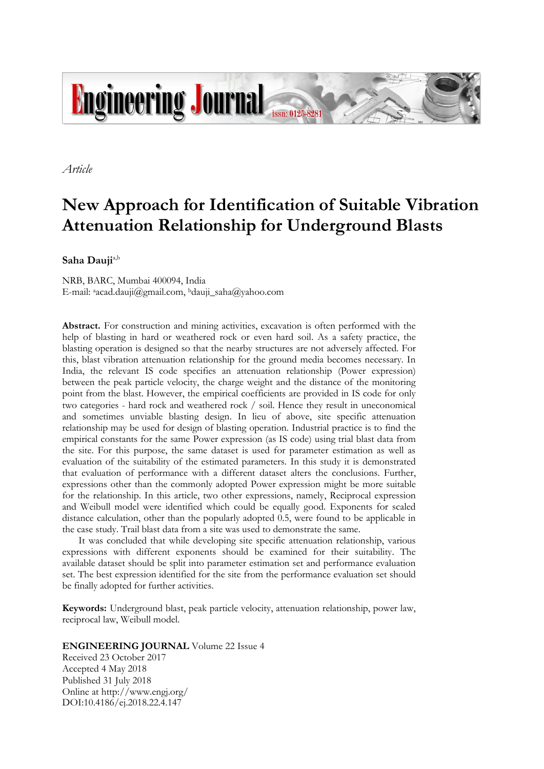

*Article*

# **New Approach for Identification of Suitable Vibration Attenuation Relationship for Underground Blasts**

**Saha Dauji**a,b

NRB, BARC, Mumbai 400094, India E-mail: aacad.dauji@gmail.com, <sup>b</sup>dauji\_saha@yahoo.com

**Abstract.** For construction and mining activities, excavation is often performed with the help of blasting in hard or weathered rock or even hard soil. As a safety practice, the blasting operation is designed so that the nearby structures are not adversely affected. For this, blast vibration attenuation relationship for the ground media becomes necessary. In India, the relevant IS code specifies an attenuation relationship (Power expression) between the peak particle velocity, the charge weight and the distance of the monitoring point from the blast. However, the empirical coefficients are provided in IS code for only two categories - hard rock and weathered rock / soil. Hence they result in uneconomical and sometimes unviable blasting design. In lieu of above, site specific attenuation relationship may be used for design of blasting operation. Industrial practice is to find the empirical constants for the same Power expression (as IS code) using trial blast data from the site. For this purpose, the same dataset is used for parameter estimation as well as evaluation of the suitability of the estimated parameters. In this study it is demonstrated that evaluation of performance with a different dataset alters the conclusions. Further, expressions other than the commonly adopted Power expression might be more suitable for the relationship. In this article, two other expressions, namely, Reciprocal expression and Weibull model were identified which could be equally good. Exponents for scaled distance calculation, other than the popularly adopted 0.5, were found to be applicable in the case study. Trail blast data from a site was used to demonstrate the same.

It was concluded that while developing site specific attenuation relationship, various expressions with different exponents should be examined for their suitability. The available dataset should be split into parameter estimation set and performance evaluation set. The best expression identified for the site from the performance evaluation set should be finally adopted for further activities.

**Keywords:** Underground blast, peak particle velocity, attenuation relationship, power law, reciprocal law, Weibull model.

# **ENGINEERING JOURNAL** Volume 22 Issue 4

Received 23 October 2017 Accepted 4 May 2018 Published 31 July 2018 Online at http://www.engj.org/ DOI:10.4186/ej.2018.22.4.147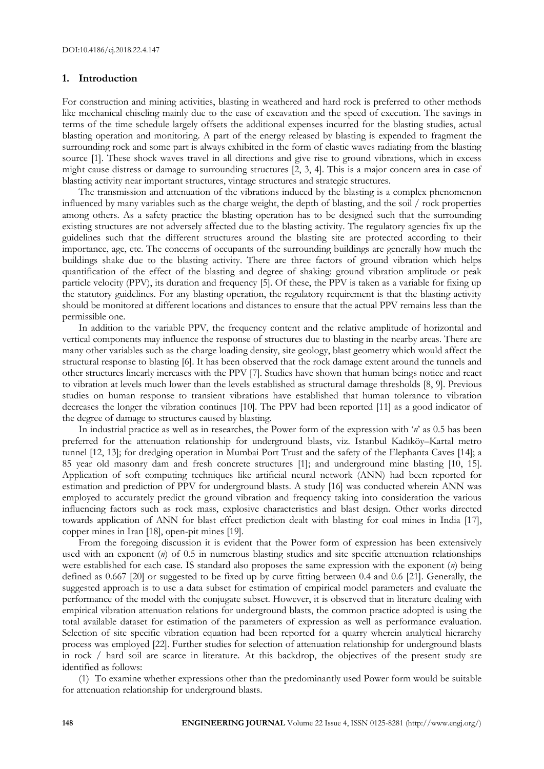# **1. Introduction**

For construction and mining activities, blasting in weathered and hard rock is preferred to other methods like mechanical chiseling mainly due to the ease of excavation and the speed of execution. The savings in terms of the time schedule largely offsets the additional expenses incurred for the blasting studies, actual blasting operation and monitoring. A part of the energy released by blasting is expended to fragment the surrounding rock and some part is always exhibited in the form of elastic waves radiating from the blasting source [1]. These shock waves travel in all directions and give rise to ground vibrations, which in excess might cause distress or damage to surrounding structures [2, 3, 4]. This is a major concern area in case of blasting activity near important structures, vintage structures and strategic structures.

The transmission and attenuation of the vibrations induced by the blasting is a complex phenomenon influenced by many variables such as the charge weight, the depth of blasting, and the soil / rock properties among others. As a safety practice the blasting operation has to be designed such that the surrounding existing structures are not adversely affected due to the blasting activity. The regulatory agencies fix up the guidelines such that the different structures around the blasting site are protected according to their importance, age, etc. The concerns of occupants of the surrounding buildings are generally how much the buildings shake due to the blasting activity. There are three factors of ground vibration which helps quantification of the effect of the blasting and degree of shaking: ground vibration amplitude or peak particle velocity (PPV), its duration and frequency [5]. Of these, the PPV is taken as a variable for fixing up the statutory guidelines. For any blasting operation, the regulatory requirement is that the blasting activity should be monitored at different locations and distances to ensure that the actual PPV remains less than the permissible one.

In addition to the variable PPV, the frequency content and the relative amplitude of horizontal and vertical components may influence the response of structures due to blasting in the nearby areas. There are many other variables such as the charge loading density, site geology, blast geometry which would affect the structural response to blasting [6]. It has been observed that the rock damage extent around the tunnels and other structures linearly increases with the PPV [7]. Studies have shown that human beings notice and react to vibration at levels much lower than the levels established as structural damage thresholds [8, 9]. Previous studies on human response to transient vibrations have established that human tolerance to vibration decreases the longer the vibration continues [10]. The PPV had been reported [11] as a good indicator of the degree of damage to structures caused by blasting.

In industrial practice as well as in researches, the Power form of the expression with '*n*' as 0.5 has been preferred for the attenuation relationship for underground blasts, viz. Istanbul Kadıköy–Kartal metro tunnel [12, 13]; for dredging operation in Mumbai Port Trust and the safety of the Elephanta Caves [14]; a 85 year old masonry dam and fresh concrete structures [1]; and underground mine blasting [10, 15]. Application of soft computing techniques like artificial neural network (ANN) had been reported for estimation and prediction of PPV for underground blasts. A study [16] was conducted wherein ANN was employed to accurately predict the ground vibration and frequency taking into consideration the various influencing factors such as rock mass, explosive characteristics and blast design. Other works directed towards application of ANN for blast effect prediction dealt with blasting for coal mines in India [17], copper mines in Iran [18], open-pit mines [19].

From the foregoing discussion it is evident that the Power form of expression has been extensively used with an exponent (*n*) of 0.5 in numerous blasting studies and site specific attenuation relationships were established for each case. IS standard also proposes the same expression with the exponent (*n*) being defined as 0.667 [20] or suggested to be fixed up by curve fitting between 0.4 and 0.6 [21]. Generally, the suggested approach is to use a data subset for estimation of empirical model parameters and evaluate the performance of the model with the conjugate subset. However, it is observed that in literature dealing with empirical vibration attenuation relations for underground blasts, the common practice adopted is using the total available dataset for estimation of the parameters of expression as well as performance evaluation. Selection of site specific vibration equation had been reported for a quarry wherein analytical hierarchy process was employed [22]. Further studies for selection of attenuation relationship for underground blasts in rock / hard soil are scarce in literature. At this backdrop, the objectives of the present study are identified as follows:

(1) To examine whether expressions other than the predominantly used Power form would be suitable for attenuation relationship for underground blasts.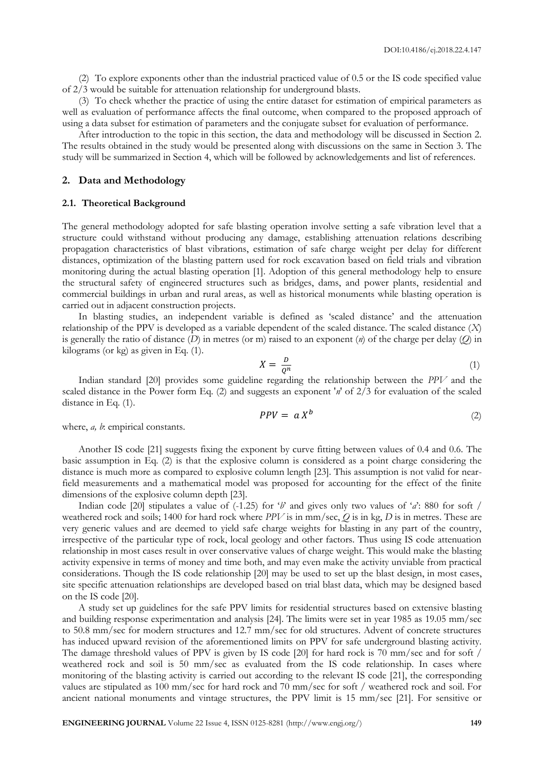(2) To explore exponents other than the industrial practiced value of 0.5 or the IS code specified value of 2/3 would be suitable for attenuation relationship for underground blasts.

(3) To check whether the practice of using the entire dataset for estimation of empirical parameters as well as evaluation of performance affects the final outcome, when compared to the proposed approach of using a data subset for estimation of parameters and the conjugate subset for evaluation of performance.

After introduction to the topic in this section, the data and methodology will be discussed in Section 2. The results obtained in the study would be presented along with discussions on the same in Section 3. The study will be summarized in Section 4, which will be followed by acknowledgements and list of references.

# **2. Data and Methodology**

#### **2.1. Theoretical Background**

The general methodology adopted for safe blasting operation involve setting a safe vibration level that a structure could withstand without producing any damage, establishing attenuation relations describing propagation characteristics of blast vibrations, estimation of safe charge weight per delay for different distances, optimization of the blasting pattern used for rock excavation based on field trials and vibration monitoring during the actual blasting operation [1]. Adoption of this general methodology help to ensure the structural safety of engineered structures such as bridges, dams, and power plants, residential and commercial buildings in urban and rural areas, as well as historical monuments while blasting operation is carried out in adjacent construction projects.

In blasting studies, an independent variable is defined as 'scaled distance' and the attenuation relationship of the PPV is developed as a variable dependent of the scaled distance. The scaled distance (*X*) is generally the ratio of distance (*D*) in metres (or m) raised to an exponent (*n*) of the charge per delay (*Q*) in kilograms (or kg) as given in Eq. (1).

$$
X = \frac{D}{Q^n} \tag{1}
$$

Indian standard [20] provides some guideline regarding the relationship between the *PPV* and the scaled distance in the Power form Eq. (2) and suggests an exponent '*n*' of 2/3 for evaluation of the scaled distance in Eq. (1).

$$
PPV = a X^b \tag{2}
$$

where, *a*, *b*: empirical constants.

Another IS code [21] suggests fixing the exponent by curve fitting between values of 0.4 and 0.6. The basic assumption in Eq. (2) is that the explosive column is considered as a point charge considering the distance is much more as compared to explosive column length [23]. This assumption is not valid for nearfield measurements and a mathematical model was proposed for accounting for the effect of the finite dimensions of the explosive column depth [23].

Indian code [20] stipulates a value of (-1.25) for '*b*' and gives only two values of '*a*': 880 for soft / weathered rock and soils; 1400 for hard rock where *PPV* is in mm/sec, *Q* is in kg, *D* is in metres. These are very generic values and are deemed to yield safe charge weights for blasting in any part of the country, irrespective of the particular type of rock, local geology and other factors. Thus using IS code attenuation relationship in most cases result in over conservative values of charge weight. This would make the blasting activity expensive in terms of money and time both, and may even make the activity unviable from practical considerations. Though the IS code relationship [20] may be used to set up the blast design, in most cases, site specific attenuation relationships are developed based on trial blast data, which may be designed based on the IS code [20].

A study set up guidelines for the safe PPV limits for residential structures based on extensive blasting and building response experimentation and analysis [24]. The limits were set in year 1985 as 19.05 mm/sec to 50.8 mm/sec for modern structures and 12.7 mm/sec for old structures. Advent of concrete structures has induced upward revision of the aforementioned limits on PPV for safe underground blasting activity. The damage threshold values of PPV is given by IS code [20] for hard rock is 70 mm/sec and for soft / weathered rock and soil is 50 mm/sec as evaluated from the IS code relationship. In cases where monitoring of the blasting activity is carried out according to the relevant IS code [21], the corresponding values are stipulated as 100 mm/sec for hard rock and 70 mm/sec for soft / weathered rock and soil. For ancient national monuments and vintage structures, the PPV limit is 15 mm/sec [21]. For sensitive or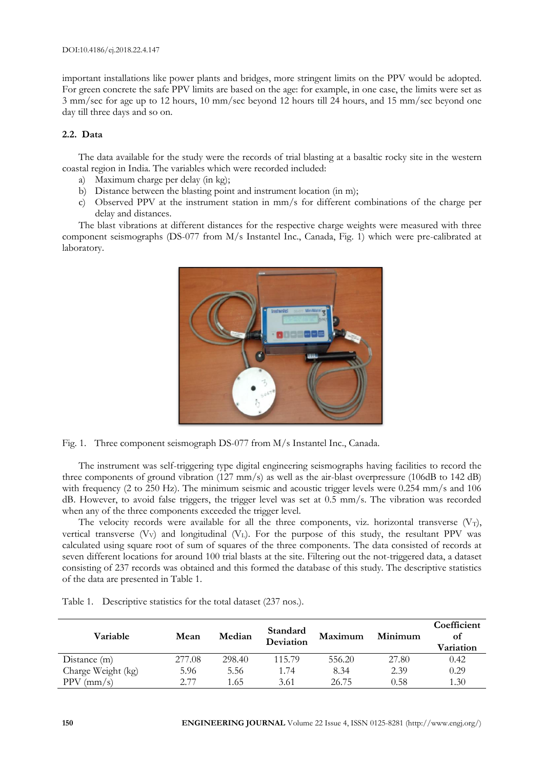important installations like power plants and bridges, more stringent limits on the PPV would be adopted. For green concrete the safe PPV limits are based on the age: for example, in one case, the limits were set as 3 mm/sec for age up to 12 hours, 10 mm/sec beyond 12 hours till 24 hours, and 15 mm/sec beyond one day till three days and so on.

# **2.2. Data**

The data available for the study were the records of trial blasting at a basaltic rocky site in the western coastal region in India. The variables which were recorded included:

- a) Maximum charge per delay (in kg);
- b) Distance between the blasting point and instrument location (in m);
- c) Observed PPV at the instrument station in mm/s for different combinations of the charge per delay and distances.

The blast vibrations at different distances for the respective charge weights were measured with three component seismographs (DS-077 from M/s Instantel Inc., Canada, Fig. 1) which were pre-calibrated at laboratory.



Fig. 1. Three component seismograph DS-077 from M/s Instantel Inc., Canada.

The instrument was self-triggering type digital engineering seismographs having facilities to record the three components of ground vibration (127 mm/s) as well as the air-blast overpressure (106dB to 142 dB) with frequency (2 to 250 Hz). The minimum seismic and acoustic trigger levels were 0.254 mm/s and 106 dB. However, to avoid false triggers, the trigger level was set at 0.5 mm/s. The vibration was recorded when any of the three components exceeded the trigger level.

The velocity records were available for all the three components, viz. horizontal transverse  $(V_T)$ , vertical transverse  $(V_V)$  and longitudinal  $(V_L)$ . For the purpose of this study, the resultant PPV was calculated using square root of sum of squares of the three components. The data consisted of records at seven different locations for around 100 trial blasts at the site. Filtering out the not-triggered data, a dataset consisting of 237 records was obtained and this formed the database of this study. The descriptive statistics of the data are presented in Table 1.

| Variable           | Mean   | Median | Standard<br>Deviation | Maximum | Minimum | Coefficient<br>οf<br>Variation |
|--------------------|--------|--------|-----------------------|---------|---------|--------------------------------|
| Distance (m)       | 277.08 | 298.40 | 115.79                | 556.20  | 27.80   | 0.42                           |
| Charge Weight (kg) | 5.96   | 5.56   | 1.74                  | 8.34    | 2.39    | 0.29                           |
| PPV<br>$\rm(mm/s)$ | 2.77   | 1.65   | 3.61                  | 26.75   | 0.58    | 1.30                           |

Table 1. Descriptive statistics for the total dataset (237 nos.).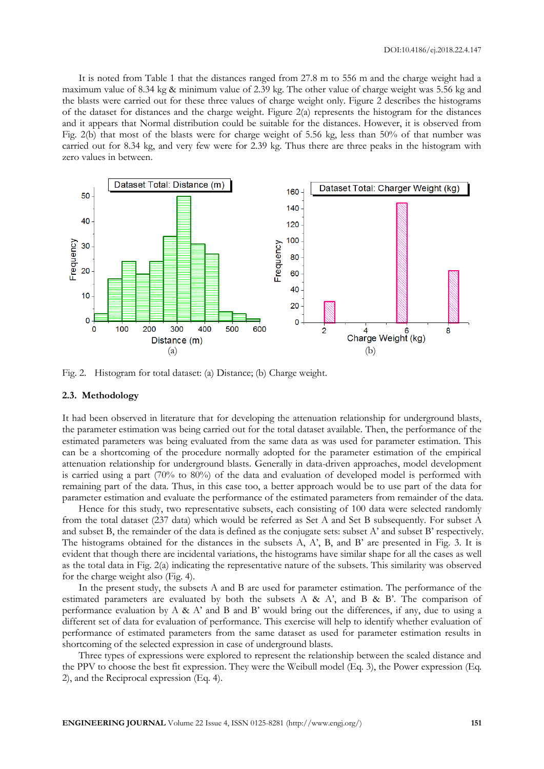It is noted from Table 1 that the distances ranged from 27.8 m to 556 m and the charge weight had a maximum value of 8.34 kg & minimum value of 2.39 kg. The other value of charge weight was 5.56 kg and the blasts were carried out for these three values of charge weight only. Figure 2 describes the histograms of the dataset for distances and the charge weight. Figure 2(a) represents the histogram for the distances and it appears that Normal distribution could be suitable for the distances. However, it is observed from Fig. 2(b) that most of the blasts were for charge weight of 5.56 kg, less than 50% of that number was carried out for 8.34 kg, and very few were for 2.39 kg. Thus there are three peaks in the histogram with zero values in between.



Fig. 2. Histogram for total dataset: (a) Distance; (b) Charge weight.

# **2.3. Methodology**

It had been observed in literature that for developing the attenuation relationship for underground blasts, the parameter estimation was being carried out for the total dataset available. Then, the performance of the estimated parameters was being evaluated from the same data as was used for parameter estimation. This can be a shortcoming of the procedure normally adopted for the parameter estimation of the empirical attenuation relationship for underground blasts. Generally in data-driven approaches, model development is carried using a part (70% to 80%) of the data and evaluation of developed model is performed with remaining part of the data. Thus, in this case too, a better approach would be to use part of the data for parameter estimation and evaluate the performance of the estimated parameters from remainder of the data.

Hence for this study, two representative subsets, each consisting of 100 data were selected randomly from the total dataset (237 data) which would be referred as Set A and Set B subsequently. For subset A and subset B, the remainder of the data is defined as the conjugate sets: subset A' and subset B' respectively. The histograms obtained for the distances in the subsets A, A', B, and B' are presented in Fig. 3. It is evident that though there are incidental variations, the histograms have similar shape for all the cases as well as the total data in Fig. 2(a) indicating the representative nature of the subsets. This similarity was observed for the charge weight also (Fig. 4).

In the present study, the subsets A and B are used for parameter estimation. The performance of the estimated parameters are evaluated by both the subsets A & A', and B & B'. The comparison of performance evaluation by A & A' and B and B' would bring out the differences, if any, due to using a different set of data for evaluation of performance. This exercise will help to identify whether evaluation of performance of estimated parameters from the same dataset as used for parameter estimation results in shortcoming of the selected expression in case of underground blasts.

Three types of expressions were explored to represent the relationship between the scaled distance and the PPV to choose the best fit expression. They were the Weibull model (Eq. 3), the Power expression (Eq. 2), and the Reciprocal expression (Eq. 4).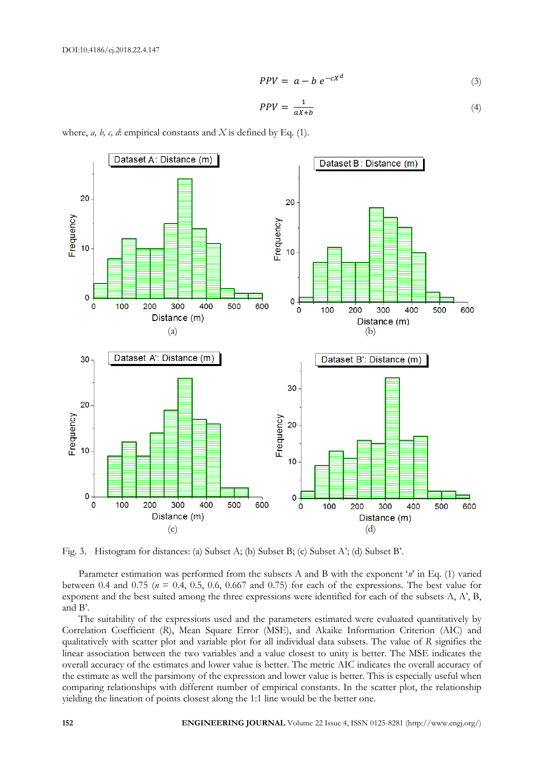$$
PPV = a - b e^{-cX^d}
$$
 (3)

$$
PPV = \frac{1}{aX + b} \tag{4}
$$

where, *a, b, c, d*: empirical constants and *X* is defined by Eq. (1).



Fig. 3. Histogram for distances: (a) Subset A; (b) Subset B; (c) Subset A'; (d) Subset B'.

Parameter estimation was performed from the subsets A and B with the exponent '*n*' in Eq. (1) varied between 0.4 and 0.75 ( $n = 0.4$ , 0.5, 0.6, 0.667 and 0.75) for each of the expressions. The best value for exponent and the best suited among the three expressions were identified for each of the subsets A, A', B, and B'.

The suitability of the expressions used and the parameters estimated were evaluated quantitatively by Correlation Coefficient (*R*), Mean Square Error (MSE), and Akaike Information Criterion (AIC) and qualitatively with scatter plot and variable plot for all individual data subsets. The value of *R* signifies the linear association between the two variables and a value closest to unity is better. The MSE indicates the overall accuracy of the estimates and lower value is better. The metric AIC indicates the overall accuracy of the estimate as well the parsimony of the expression and lower value is better. This is especially useful when comparing relationships with different number of empirical constants. In the scatter plot, the relationship yielding the lineation of points closest along the 1:1 line would be the better one.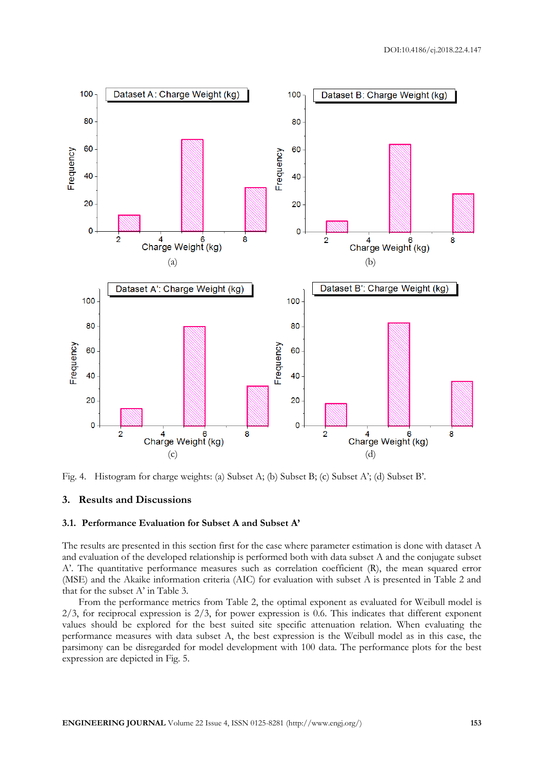

Fig. 4. Histogram for charge weights: (a) Subset A; (b) Subset B; (c) Subset A'; (d) Subset B'.

# **3. Results and Discussions**

#### **3.1. Performance Evaluation for Subset A and Subset A'**

The results are presented in this section first for the case where parameter estimation is done with dataset A and evaluation of the developed relationship is performed both with data subset A and the conjugate subset A'. The quantitative performance measures such as correlation coefficient (R), the mean squared error (MSE) and the Akaike information criteria (AIC) for evaluation with subset A is presented in Table 2 and that for the subset A' in Table 3.

From the performance metrics from Table 2, the optimal exponent as evaluated for Weibull model is  $2/3$ , for reciprocal expression is  $2/3$ , for power expression is 0.6. This indicates that different exponent values should be explored for the best suited site specific attenuation relation. When evaluating the performance measures with data subset A, the best expression is the Weibull model as in this case, the parsimony can be disregarded for model development with 100 data. The performance plots for the best expression are depicted in Fig. 5.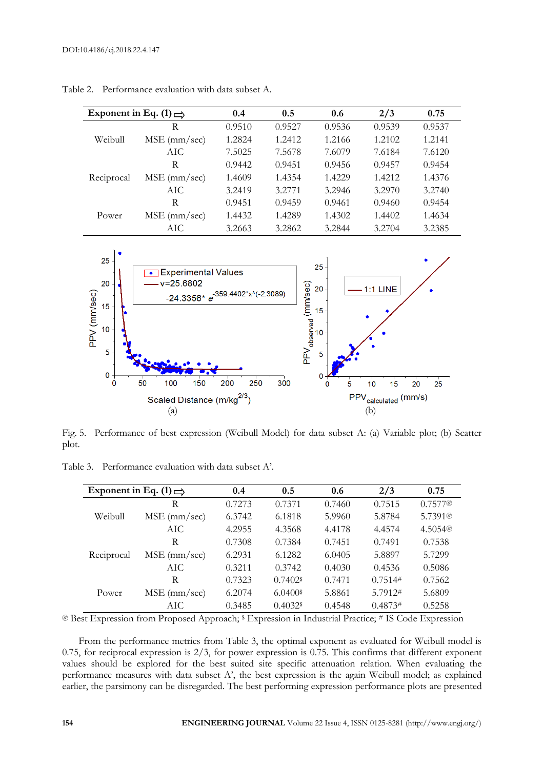| Exponent in Eq. (1) $\Rightarrow$ |                | 0.4    | 0.5    | 0.6    | 2/3    | 0.75   |
|-----------------------------------|----------------|--------|--------|--------|--------|--------|
|                                   | R              | 0.9510 | 0.9527 | 0.9536 | 0.9539 | 0.9537 |
| Weibull                           | $MSE$ (mm/sec) | 1.2824 | 1.2412 | 1.2166 | 1.2102 | 1.2141 |
|                                   | AIC            | 7.5025 | 7.5678 | 7.6079 | 7.6184 | 7.6120 |
| Reciprocal                        | R              | 0.9442 | 0.9451 | 0.9456 | 0.9457 | 0.9454 |
|                                   | $MSE$ (mm/sec) | 1.4609 | 1.4354 | 1.4229 | 1.4212 | 1.4376 |
|                                   | AIC.           | 3.2419 | 3.2771 | 3.2946 | 3.2970 | 3.2740 |
| Power                             | R              | 0.9451 | 0.9459 | 0.9461 | 0.9460 | 0.9454 |
|                                   | $MSE$ (mm/sec) | 1.4432 | 1.4289 | 1.4302 | 1.4402 | 1.4634 |
|                                   | AIC.           | 3.2663 | 3.2862 | 3.2844 | 3.2704 | 3.2385 |

Table 2. Performance evaluation with data subset A.



Fig. 5. Performance of best expression (Weibull Model) for data subset A: (a) Variable plot; (b) Scatter plot.

| Exponent in Eq. (1) $\Rightarrow$ |                | 0.4    | 0.5                    | 0.6    | 2/3     | 0.75    |
|-----------------------------------|----------------|--------|------------------------|--------|---------|---------|
| Weibull                           | R              | 0.7273 | 0.7371                 | 0.7460 | 0.7515  | 0.7577@ |
|                                   | $MSE$ (mm/sec) | 6.3742 | 6.1818                 | 5.9960 | 5.8784  | 5.7391@ |
|                                   | AIC            | 4.2955 | 4.3568                 | 4.4178 | 4.4574  | 4.5054@ |
| Reciprocal                        | R              | 0.7308 | 0.7384                 | 0.7451 | 0.7491  | 0.7538  |
|                                   | $MSE$ (mm/sec) | 6.2931 | 6.1282                 | 6.0405 | 5.8897  | 5.7299  |
|                                   | AIC.           | 0.3211 | 0.3742                 | 0.4030 | 0.4536  | 0.5086  |
| Power                             | R              | 0.7323 | $0.7402$ <sup>\$</sup> | 0.7471 | 0.7514# | 0.7562  |
|                                   | $MSE$ (mm/sec) | 6.2074 | $6.0400$ <sup>\$</sup> | 5.8861 | 5.7912# | 5.6809  |
|                                   | AIC.           | 0.3485 | $0.4032$ <sup>\$</sup> | 0.4548 | 0.4873# | 0.5258  |

Table 3. Performance evaluation with data subset A'.

@ Best Expression from Proposed Approach; \$ Expression in Industrial Practice; # IS Code Expression

From the performance metrics from Table 3, the optimal exponent as evaluated for Weibull model is 0.75, for reciprocal expression is  $2/3$ , for power expression is 0.75. This confirms that different exponent values should be explored for the best suited site specific attenuation relation. When evaluating the performance measures with data subset A', the best expression is the again Weibull model; as explained earlier, the parsimony can be disregarded. The best performing expression performance plots are presented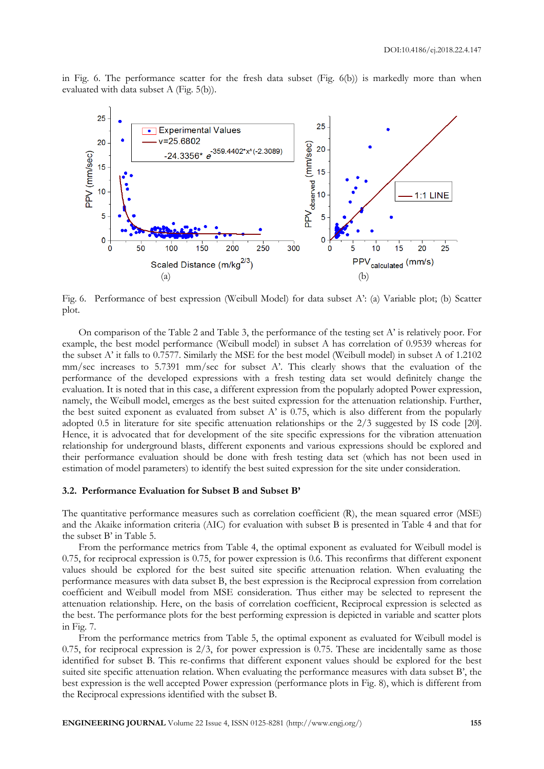in Fig. 6. The performance scatter for the fresh data subset (Fig. 6(b)) is markedly more than when evaluated with data subset A (Fig. 5(b)).



Fig. 6. Performance of best expression (Weibull Model) for data subset A': (a) Variable plot; (b) Scatter plot.

On comparison of the Table 2 and Table 3, the performance of the testing set A' is relatively poor. For example, the best model performance (Weibull model) in subset A has correlation of 0.9539 whereas for the subset A' it falls to 0.7577. Similarly the MSE for the best model (Weibull model) in subset A of 1.2102 mm/sec increases to 5.7391 mm/sec for subset A'. This clearly shows that the evaluation of the performance of the developed expressions with a fresh testing data set would definitely change the evaluation. It is noted that in this case, a different expression from the popularly adopted Power expression, namely, the Weibull model, emerges as the best suited expression for the attenuation relationship. Further, the best suited exponent as evaluated from subset A' is 0.75, which is also different from the popularly adopted 0.5 in literature for site specific attenuation relationships or the 2/3 suggested by IS code [20]. Hence, it is advocated that for development of the site specific expressions for the vibration attenuation relationship for underground blasts, different exponents and various expressions should be explored and their performance evaluation should be done with fresh testing data set (which has not been used in estimation of model parameters) to identify the best suited expression for the site under consideration.

# **3.2. Performance Evaluation for Subset B and Subset B'**

The quantitative performance measures such as correlation coefficient (R), the mean squared error (MSE) and the Akaike information criteria (AIC) for evaluation with subset B is presented in Table 4 and that for the subset B' in Table 5.

From the performance metrics from Table 4, the optimal exponent as evaluated for Weibull model is 0.75, for reciprocal expression is 0.75, for power expression is 0.6. This reconfirms that different exponent values should be explored for the best suited site specific attenuation relation. When evaluating the performance measures with data subset B, the best expression is the Reciprocal expression from correlation coefficient and Weibull model from MSE consideration. Thus either may be selected to represent the attenuation relationship. Here, on the basis of correlation coefficient, Reciprocal expression is selected as the best. The performance plots for the best performing expression is depicted in variable and scatter plots in Fig. 7.

From the performance metrics from Table 5, the optimal exponent as evaluated for Weibull model is 0.75, for reciprocal expression is  $2/3$ , for power expression is 0.75. These are incidentally same as those identified for subset B. This re-confirms that different exponent values should be explored for the best suited site specific attenuation relation. When evaluating the performance measures with data subset B', the best expression is the well accepted Power expression (performance plots in Fig. 8), which is different from the Reciprocal expressions identified with the subset B.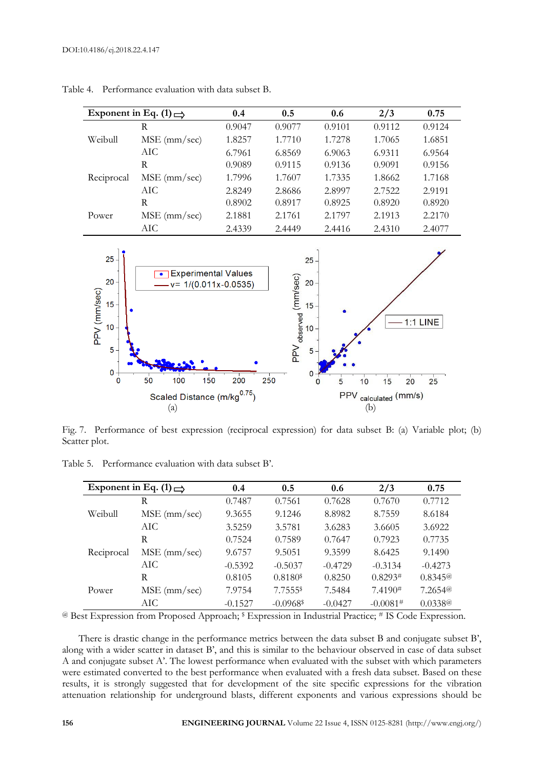|            | Exponent in Eq. (1) $\Rightarrow$ | 0.4    | 0.5    | 0.6    | 2/3    | 0.75   |
|------------|-----------------------------------|--------|--------|--------|--------|--------|
|            | R                                 | 0.9047 | 0.9077 | 0.9101 | 0.9112 | 0.9124 |
| Weibull    | $MSE$ (mm/sec)                    | 1.8257 | 1.7710 | 1.7278 | 1.7065 | 1.6851 |
|            | AIC.                              | 6.7961 | 6.8569 | 6.9063 | 6.9311 | 6.9564 |
| Reciprocal | R                                 | 0.9089 | 0.9115 | 0.9136 | 0.9091 | 0.9156 |
|            | $MSE$ (mm/sec)                    | 1.7996 | 1.7607 | 1.7335 | 1.8662 | 1.7168 |
|            | AIC.                              | 2.8249 | 2.8686 | 2.8997 | 2.7522 | 2.9191 |
| Power      | R                                 | 0.8902 | 0.8917 | 0.8925 | 0.8920 | 0.8920 |
|            | $MSE$ (mm/sec)                    | 2.1881 | 2.1761 | 2.1797 | 2.1913 | 2.2170 |
|            | AIC                               | 2.4339 | 2.4449 | 2.4416 | 2.4310 | 2.4077 |

Table 4. Performance evaluation with data subset B.



Fig. 7. Performance of best expression (reciprocal expression) for data subset B: (a) Variable plot; (b) Scatter plot.

| Exponent in Eq. (1) $\Rightarrow$ |                | 0.4       | 0.5                     | 0.6       | 2/3        | 0.75      |
|-----------------------------------|----------------|-----------|-------------------------|-----------|------------|-----------|
|                                   | R              | 0.7487    | 0.7561                  | 0.7628    | 0.7670     | 0.7712    |
| Weibull                           | $MSE$ (mm/sec) | 9.3655    | 9.1246                  | 8.8982    | 8.7559     | 8.6184    |
|                                   | AIC.           | 3.5259    | 3.5781                  | 3.6283    | 3.6605     | 3.6922    |
| Reciprocal                        | R              | 0.7524    | 0.7589                  | 0.7647    | 0.7923     | 0.7735    |
|                                   | $MSE$ (mm/sec) | 9.6757    | 9.5051                  | 9.3599    | 8.6425     | 9.1490    |
|                                   | AIC.           | $-0.5392$ | $-0.5037$               | $-0.4729$ | $-0.3134$  | $-0.4273$ |
| Power                             | R              | 0.8105    | 0.8180 <sup>\$</sup>    | 0.8250    | 0.8293#    | 0.8345@   |
|                                   | $MSE$ (mm/sec) | 7.9754    | 7.7555\$                | 7.5484    | 7.4190#    | 7.2654@   |
|                                   | AIC.           | $-0.1527$ | $-0.0968$ <sup>\$</sup> | $-0.0427$ | $-0.0081#$ | 0.0338@   |

Table 5. Performance evaluation with data subset B'.

@ Best Expression from Proposed Approach; \$ Expression in Industrial Practice; # IS Code Expression.

There is drastic change in the performance metrics between the data subset B and conjugate subset B', along with a wider scatter in dataset B', and this is similar to the behaviour observed in case of data subset A and conjugate subset A'. The lowest performance when evaluated with the subset with which parameters were estimated converted to the best performance when evaluated with a fresh data subset. Based on these results, it is strongly suggested that for development of the site specific expressions for the vibration attenuation relationship for underground blasts, different exponents and various expressions should be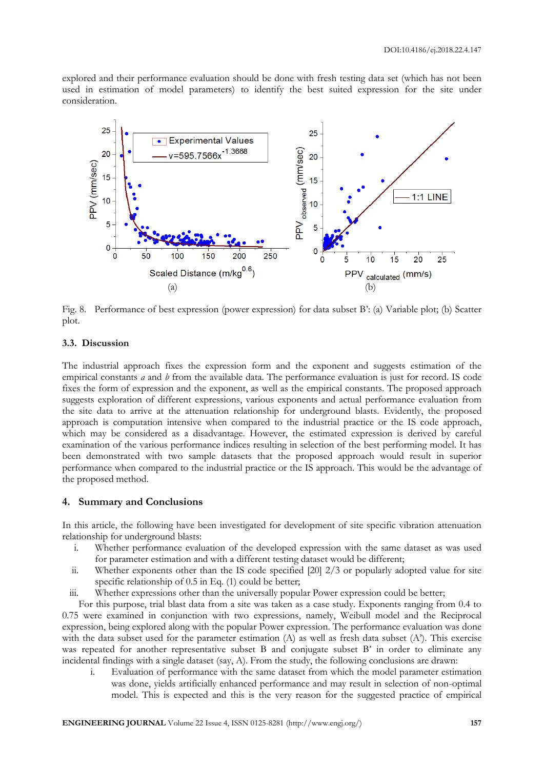explored and their performance evaluation should be done with fresh testing data set (which has not been used in estimation of model parameters) to identify the best suited expression for the site under consideration.



Fig. 8. Performance of best expression (power expression) for data subset B': (a) Variable plot; (b) Scatter plot.

# **3.3. Discussion**

The industrial approach fixes the expression form and the exponent and suggests estimation of the empirical constants *a* and *b* from the available data. The performance evaluation is just for record. IS code fixes the form of expression and the exponent, as well as the empirical constants. The proposed approach suggests exploration of different expressions, various exponents and actual performance evaluation from the site data to arrive at the attenuation relationship for underground blasts. Evidently, the proposed approach is computation intensive when compared to the industrial practice or the IS code approach, which may be considered as a disadvantage. However, the estimated expression is derived by careful examination of the various performance indices resulting in selection of the best performing model. It has been demonstrated with two sample datasets that the proposed approach would result in superior performance when compared to the industrial practice or the IS approach. This would be the advantage of the proposed method.

# **4. Summary and Conclusions**

In this article, the following have been investigated for development of site specific vibration attenuation relationship for underground blasts:

- i. Whether performance evaluation of the developed expression with the same dataset as was used for parameter estimation and with a different testing dataset would be different;
- ii. Whether exponents other than the IS code specified [20] 2/3 or popularly adopted value for site specific relationship of 0.5 in Eq. (1) could be better;
- iii. Whether expressions other than the universally popular Power expression could be better;

For this purpose, trial blast data from a site was taken as a case study. Exponents ranging from 0.4 to 0.75 were examined in conjunction with two expressions, namely, Weibull model and the Reciprocal expression, being explored along with the popular Power expression. The performance evaluation was done with the data subset used for the parameter estimation  $(A)$  as well as fresh data subset  $(A)$ . This exercise was repeated for another representative subset B and conjugate subset B' in order to eliminate any incidental findings with a single dataset (say, A). From the study, the following conclusions are drawn:

i. Evaluation of performance with the same dataset from which the model parameter estimation was done, yields artificially enhanced performance and may result in selection of non-optimal model. This is expected and this is the very reason for the suggested practice of empirical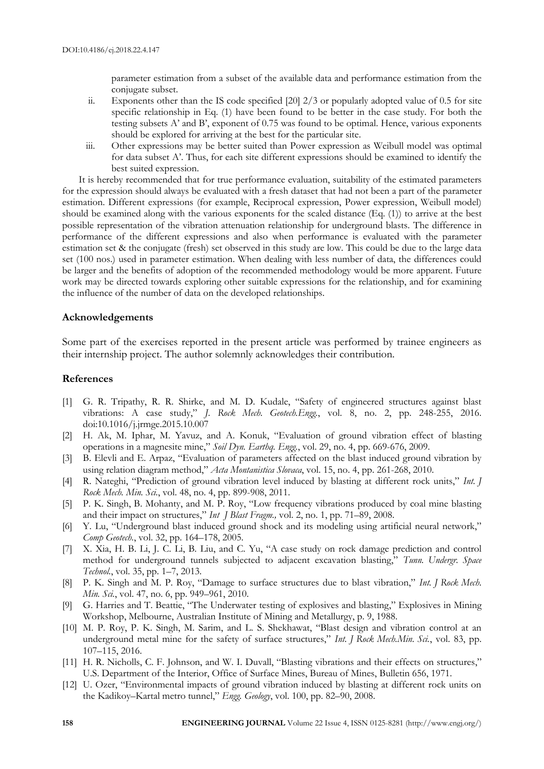parameter estimation from a subset of the available data and performance estimation from the conjugate subset.

- ii. Exponents other than the IS code specified  $[20]$  2/3 or popularly adopted value of 0.5 for site specific relationship in Eq. (1) have been found to be better in the case study. For both the testing subsets A' and B', exponent of 0.75 was found to be optimal. Hence, various exponents should be explored for arriving at the best for the particular site.
- iii. Other expressions may be better suited than Power expression as Weibull model was optimal for data subset A'. Thus, for each site different expressions should be examined to identify the best suited expression.

It is hereby recommended that for true performance evaluation, suitability of the estimated parameters for the expression should always be evaluated with a fresh dataset that had not been a part of the parameter estimation. Different expressions (for example, Reciprocal expression, Power expression, Weibull model) should be examined along with the various exponents for the scaled distance (Eq. (1)) to arrive at the best possible representation of the vibration attenuation relationship for underground blasts. The difference in performance of the different expressions and also when performance is evaluated with the parameter estimation set & the conjugate (fresh) set observed in this study are low. This could be due to the large data set (100 nos.) used in parameter estimation. When dealing with less number of data, the differences could be larger and the benefits of adoption of the recommended methodology would be more apparent. Future work may be directed towards exploring other suitable expressions for the relationship, and for examining the influence of the number of data on the developed relationships.

# **Acknowledgements**

Some part of the exercises reported in the present article was performed by trainee engineers as their internship project. The author solemnly acknowledges their contribution.

# **References**

- [1] G. R. Tripathy, R. R. Shirke, and M. D. Kudale, "Safety of engineered structures against blast vibrations: A case study," *J. Rock Mech. Geotech.Engg.*, vol. 8, no. 2, pp. 248-255, 2016. doi:10.1016/j.jrmge.2015.10.007
- [2] H. Ak, M. Iphar, M. Yavuz, and A. Konuk, "Evaluation of ground vibration effect of blasting operations in a magnesite mine," *Soil Dyn. Earthq. Engg.*, vol. 29, no. 4, pp. 669-676, 2009.
- [3] B. Elevli and E. Arpaz, "Evaluation of parameters affected on the blast induced ground vibration by using relation diagram method," *Acta Montanistica Slovaca*, vol. 15, no. 4, pp. 261-268, 2010.
- [4] R. Nateghi, "Prediction of ground vibration level induced by blasting at different rock units," *Int. J Rock Mech. Min. Sci.*, vol. 48, no. 4, pp. 899-908, 2011.
- [5] P. K. Singh, B. Mohanty, and M. P. Roy, "Low frequency vibrations produced by coal mine blasting and their impact on structures," *Int J Blast Fragm.,* vol. 2, no. 1, pp. 71–89, 2008.
- [6] Y. Lu, "Underground blast induced ground shock and its modeling using artificial neural network," *Comp Geotech.*, vol. 32, pp. 164–178, 2005.
- [7] X. Xia, H. B. Li, J. C. Li, B. Liu, and C. Yu, "A case study on rock damage prediction and control method for underground tunnels subjected to adjacent excavation blasting," *Tunn. Undergr. Space Technol.*, vol. 35, pp. 1–7, 2013.
- [8] P. K. Singh and M. P. Roy, "Damage to surface structures due to blast vibration," *Int. J Rock Mech. Min. Sci.*, vol. 47, no. 6, pp. 949–961, 2010.
- [9] G. Harries and T. Beattie, "The Underwater testing of explosives and blasting," Explosives in Mining Workshop, Melbourne, Australian Institute of Mining and Metallurgy, p. 9, 1988.
- [10] M. P. Roy, P. K. Singh, M. Sarim, and L. S. Shekhawat, "Blast design and vibration control at an underground metal mine for the safety of surface structures," *Int. J Rock Mech.Min. Sci.*, vol. 83, pp. 107–115, 2016.
- [11] H. R. Nicholls, C. F. Johnson, and W. I. Duvall, "Blasting vibrations and their effects on structures," U.S. Department of the Interior, Office of Surface Mines, Bureau of Mines, Bulletin 656, 1971.
- [12] U. Ozer, "Environmental impacts of ground vibration induced by blasting at different rock units on the Kadikoy–Kartal metro tunnel," *Engg. Geology*, vol. 100, pp. 82–90, 2008.